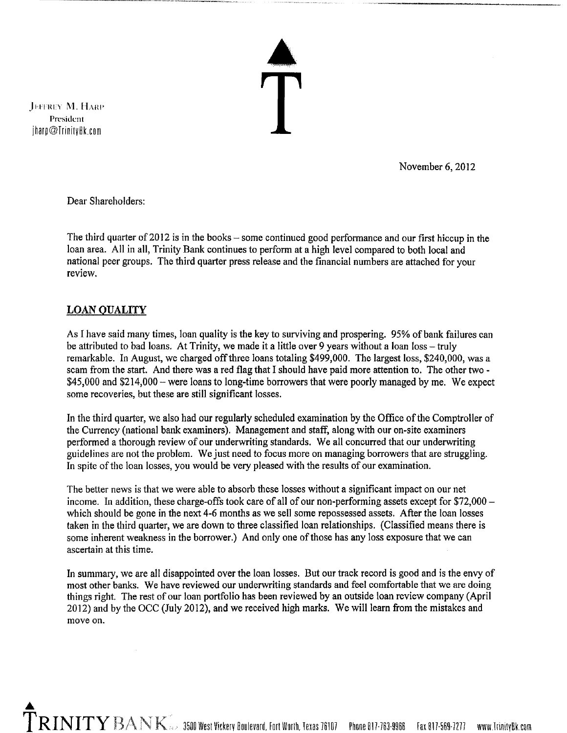JEFREY M. HARP President iharp@lrinityBk com

 $\blacktriangle$ 

November 6, 2012

Dear Shareholders:

The third quarter of 2012 is in the books  $-$  some continued good performance and our first hiccup in the loan area. All in all, Trinity Bank continues to perform at a high level compared to both local and national peer groups. The third quarter press release and the financial numbers are attached for your review.

## **LOAN QUALITY**

As I have said many times, loan quality is the key to surviving and prospering. 95% of bank failures can be attributed to bad loans. At Trinity, we made it a little over 9 years without a loan loss - truly remarkable. In August, we charged off three loans totaling \$499,000. The largest loss, \$240,000, was a scam from the start. And there was a red flag that I should have paid more attention to. The other two - \$45,000 and \$214,000 - were loans to long-time borrowers that were poorly managed by me. We expect some recoveries, but these are still significant losses.

In the third quarter, we also had our regularly scheduled examination by the Office ofthe Comptroller of the Currency (national bank examiners). Management and staff, along with our on-site examiners performed a thorough review of our underwriting standards. We all concurred that our underwriting guidelines are not the problem. We just need to focus more on managing borrowers that are struggling. In spite of the loan losses, you would be very pleased with the results of our examination.

The better news is that we were able to absorb these losses without a significant impact on our net income. In addition, these charge-offs took care of all of our non-performing assets except for \$72,000 which should be gone in the next 4-6 months as we sell some repossessed assets. After the loan losses taken in the third quarter, we are down to three classified loan relationships. (Classified means there is some inherent weakness in the borrower.) And only one of those has any loss exposure that we can ascertain at this time.

In summary, we are all disappointed over the loan losses. But our track record is good and is the envy of most other banks. We have reviewed our underwriting standards and feel comfortable that we are doing things right. The rest of our loan portfolio has been reviewed by an outside loan review company (April 2012) and by the OCC (July 2012), and we received high marks. We will learn from the mistakes and move on.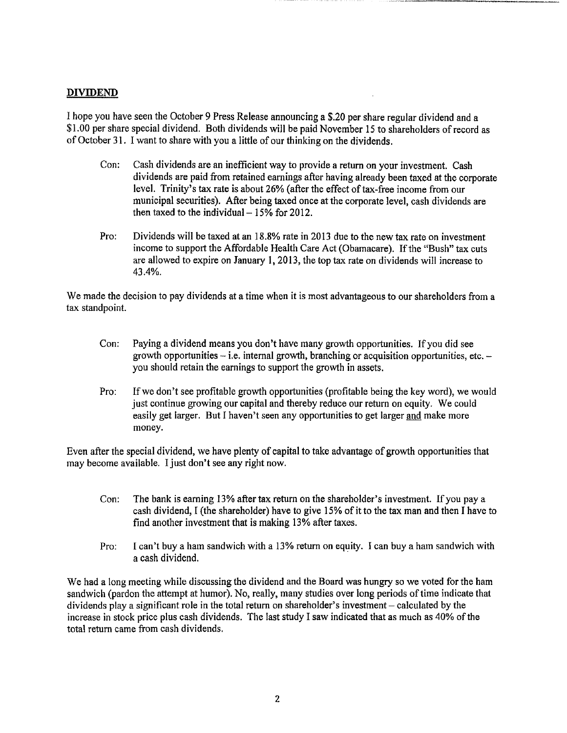### **DIVIDEND**

I hope you have seen the October 9 Press Release announcing a \$.20 per share regular dividend and a \$1.00 per share special dividend. Both dividends will be paid November 15 to shareholders of record as of October 31. I want to share with you a little of our thinking on the dividends.

- Con: Cash dividends are an inefficient way to provide a return on your investment. Cash dividends are paid from retained earnings after having already been taxed at the corporate level. Trinity's tax rate is about 26% (after the effect of tax-free income from our municipal securities). After being taxed once at the corporate level, cash dividends are then taxed to the individual  $- 15\%$  for 2012.
- Pro: Dividends will be taxed at an 18.8% rate in 2013 due to the new tax rate on investment income to support the Affordable Health Care Act (Obamacare). If the "Bush" tax cuts are allowed to expire on January 1, 2013, the top tax rate on dividends will increase to 43.4%.

We made the decision to pay dividends at a time when it is most advantageous to our shareholders from a tax standpoint.

- Con: Paying a dividend means you don't have many growth opportunities. If you did see growth opportunities  $-$  i.e. internal growth, branching or acquisition opportunities, etc.  $$ you should retain the earnings to support the growth in assets.
- Pro: Ifwe don't see profitable growth opportunities (profitable being the key word), we would just continue growing our capital and thereby reduce our return on equity. We could easily get larger. But I haven't seen any opportunities to get larger and make more money.

Even after the special dividend, we have plenty of capital to take advantage of growth opportunities that may become available. I just don't see any right now.

- Con: The bank is earning 13% after tax return on the shareholder's investment. Ifyou pay a cash dividend, I (the shareholder) have to give 15% of it to the tax man and then I have to find another investment that is making 13% after taxes.
- Pro: I can't buy a ham sandwich with a 13% return on equity. I can buy a ham sandwich with a cash dividend.

We had a long meeting while discussing the dividend and the Board was hungry so we voted for the ham sandwich (pardon the attempt at humor). No, really, many studies over long periods of time indicate that dividends play a significant role in the total return on shareholder's investment – calculated by the increase in stock price plus cash dividends. The last study I saw indicated that as much as 40% of the total return came from cash dividends.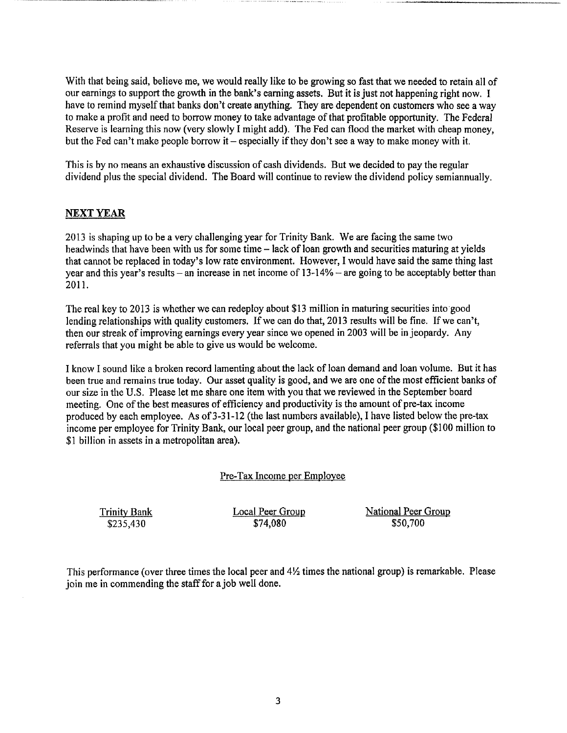With that being said, believe me, we would really like to be growing so fast that we needed to retain all of our earnings to support the growth in the bank's earning assets. But it is just not happening right now. I have to remind myself that banks don't create anything. They are dependent on customers who see a way to make a profit and need to borrow money to take advantage of that profitable opportunity. The Federal Reserve is learning this now (very slowly I might add). The Fed can flood the market with cheap money, but the Fed can't make people borrow it – especially if they don't see a way to make money with it.

This is by no means an exhaustive discussion of cash dividends. But we decided to pay the regular dividend plus the special dividend. The Board will continue to review the dividend policy semiannually.

## **NEXT YEAR**

2013 is shaping up to be a very challenging year for Trinity Bank. We are facing the same two headwinds that have been with us for some time - lack of loan growth and securities maturing at yields that cannot be replaced in today's low rate environment. However, I would have said the same thing last year and this year's results - an increase in net income of  $13-14%$  - are going to be acceptably better than 2011.

The real key to 2013 is whether we can redeploy about \$13 million in maturing securities into good lending relationships with quality customers. If we can do that, 2013 results will be fine. If we can't, then our streak of improving earnings every year since we opened in 2003 will be in jeopardy. Any referrals that you might be able to give us would be welcome.

I know I sound like a broken record lamenting about the lack of loan demand and loan volume. But it has been true and remains true today. Our asset quality is good, and we are one of the most efficient banks of our size in the U.S. Please let me share one item with you that we reviewed in the September board meeting. One of the best measures of efficiency and productivity is the amount of pre-tax income produced by each employee. As of 3-31-12 (the last numbers available), I have listed below the pre-tax income per employee for Trinity Bank, our local peer group, and the national peer group (\$100 million to \$1 billion in assets in a metropolitan area).

## Pre-Tax Income per Employee

\$235,430

Trinity Bank<br>  $\frac{\text{Trainity Bank}}{\$235,430}$   $\frac{\text{Local Peer Group}}{\$74,080}$   $\frac{\text{National Peer Group}}{\$50,700}$ 

This performance (over three times the local peer and 4½ times the national group) is remarkable. Please join me in commending the staff for ajob well done.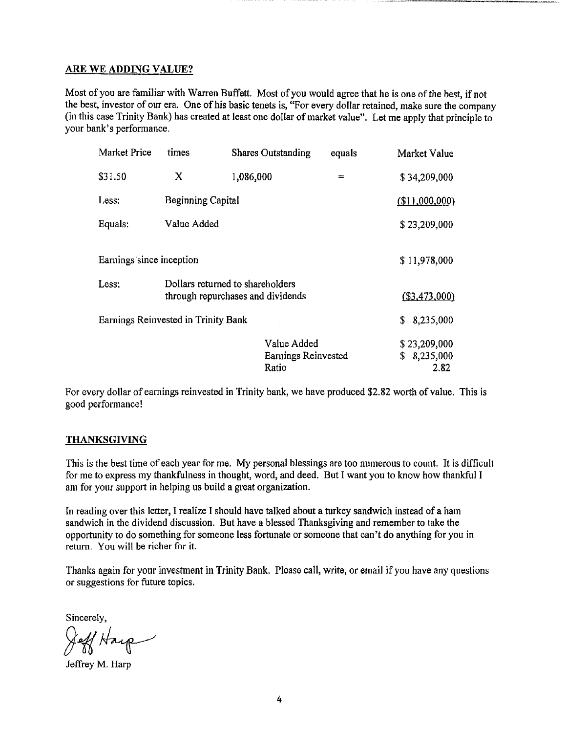## **ARE WE ADDING VALUE?**

Most of you are familiar with Warren Buffett. Most of you would agree that he is one of the best, if not the best, investor of our era. One of his basic tenets is, "For every dollar retained, make sure the company (in this case Trinity Bank) has created at least one dollar of market value". Let me apply that principle to your bank's performance.

| Market Price                        | times             | <b>Shares Outstanding</b>                                             | equals | Market Value                            |
|-------------------------------------|-------------------|-----------------------------------------------------------------------|--------|-----------------------------------------|
| \$31.50                             | X                 | 1,086,000                                                             | $=$    | \$34,209,000                            |
| Less:                               | Beginning Capital |                                                                       |        | $($ \$11,000,000)                       |
| Equals:                             | Value Added       |                                                                       |        | \$23,209,000                            |
| Earnings since inception            | \$11,978,000      |                                                                       |        |                                         |
| Less:                               |                   | Dollars returned to shareholders<br>through repurchases and dividends |        | (\$3,473,000)                           |
| Earnings Reinvested in Trinity Bank |                   |                                                                       |        | 8,235,000<br>\$                         |
|                                     |                   | Value Added<br><b>Earnings Reinvested</b><br>Ratio                    |        | \$23,209,000<br>8,235,000<br>\$<br>2.82 |

For every dollar of earnings reinvested in Trinity bank, we have produced \$2.82 worth of value. This is good performance!

## **THANKSGIVING**

This is the best time of each year for me. My personal blessings are too numerous to count. It is difficult for me to express my thankfulness in thought, word, and deed. But I want you to know how thankful I am for your support in helping us build a great organization.

In reading over this letter, I realize I should have talked about a turkey sandwich instead of a ham sandwich in the dividend discussion. But have a blessed Thanksgiving and remember to take the opportunity to do something for someone less fortunate or someone that can't do anything for you in return. You will be richer for it.

Thanks again for your investment in Trinity Bank. Please call, write, or email if you have any questions or suggestions for future topics.

Sincerely,

*Ytt~* 

Jeffrey M. Harp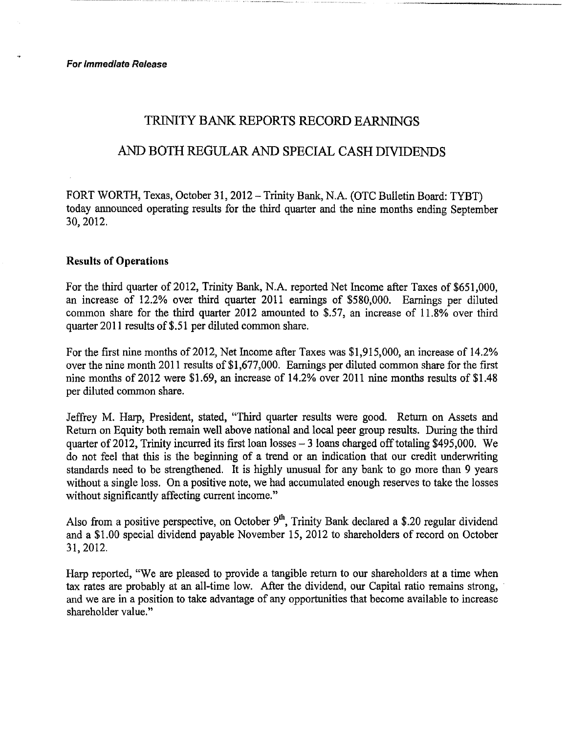# TRINITY BANK REPORTS RECORD EARNINGS

# AND BOTH REGULAR AND SPECIAL CASH DIVIDENDS

FORT WORTH, Texas, October 31, 2012-Trinity Bank, N.A. (OTC Bulletin Board: TYBT) today announced operating results for the third quarter and the nine months ending September 30, 2012.

## **Results of Operations**

For the third quarter of 2012, Trinity Bank, N.A. reported Net Income after Taxes of \$651,000, an increase of 12.2% over third quarter 2011 earnings of \$580,000. Earnings per diluted common share for the third quarter 2012 amounted to \$.57, an increase of 11.8% over third quarter 2011 results of \$.51 per diluted common share.

For the first nine months of 2012, Net Income after Taxes was \$1,915,000, an increase of 14.2% over the nine month 2011 results of \$1,677,000. Earnings per diluted common share for the first nine months of 2012 were \$1.69, an increase of 14.2% over 2011 nine months results of \$1.48 per diluted common share.

Jeffrey M. Harp, President, stated, "Third quarter results were good. Return on Assets and Return on Equity both remain well above national and local peer group results. During the third quarter of 2012, Trinity incurred its first loan losses  $-3$  loans charged off totaling \$495,000. We do not feel that this is the beginning of a trend or an indication that our credit underwriting standards need to be strengthened. It is highly unusual for any bank to go more than 9 years without a single loss. On a positive note, we had accumulated enough reserves to take the losses without significantly affecting current income."

Also from a positive perspective, on October  $9<sup>th</sup>$ , Trinity Bank declared a \$.20 regular dividend and a \$1.00 special dividend payable November 15, 2012 to shareholders of record on October 31,2012.

Harp reported, "We are pleased to provide a tangible return to our shareholders at a time when tax rates are probably at an all-time low. After the dividend, our Capital ratio remains strong, and we are in a position to take advantage of any opportunities that become available to increase shareholder value."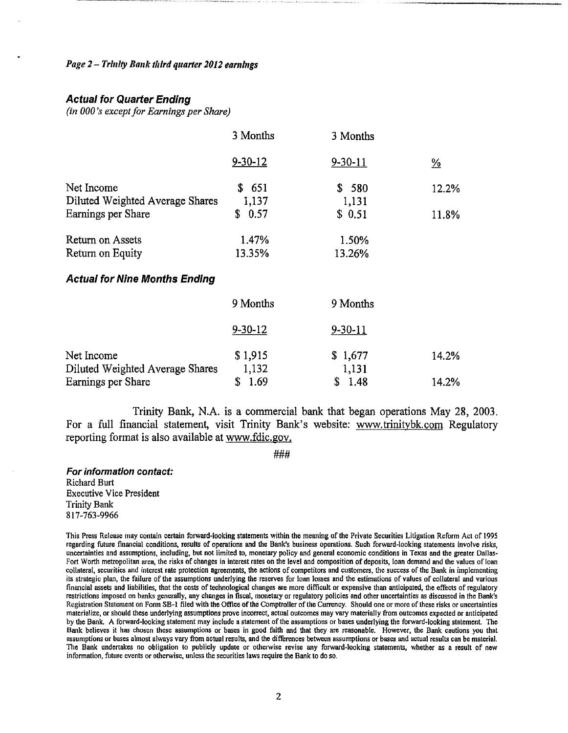#### *Page 2 - Trinity Bank third quarter 2012 earnings*

### **Actual for Quarter Ending**

*(in 000 's except for Earnings per Share)* 

|                                                       | 3 Months        | 3 Months        |               |
|-------------------------------------------------------|-----------------|-----------------|---------------|
|                                                       | $9 - 30 - 12$   | $9 - 30 - 11$   | $\frac{0}{2}$ |
| Net Income                                            | \$651           | \$580           | 12.2%         |
| Diluted Weighted Average Shares<br>Earnings per Share | 1,137<br>\$0.57 | 1,131<br>\$0.51 | 11.8%         |
| Return on Assets                                      | 1.47%           | 1.50%           |               |
| Return on Equity                                      | 13.35%          | 13.26%          |               |

#### **Actual for Nine Months Ending**

|                                 | 9 Months      | 9 Months         |  |
|---------------------------------|---------------|------------------|--|
|                                 | $9 - 30 - 12$ | $9 - 30 - 11$    |  |
| Net Income                      | \$1,915       | \$1,677<br>14.2% |  |
| Diluted Weighted Average Shares | 1,132         | 1,131            |  |
| Earnings per Share              | 1.69          | 1.48<br>14.2%    |  |

Trinity Bank, N.A. is a commercial bank that began operations May 28, 2003. For a full financial statement, visit Trinity Bank's website: <www.trinitybk.com> Regulatory reporting format is also available at [www.fdic.gov.](www.fdic.gov)

###

**For information contact:**  Richard Burt Executive Vice President Trinity Bank 817-763-9966

This Press Release may contain certain forward-looking statements within the meaning of the Private Securities Litigation Reform Act of 1995 regarding future financial conditions, results of operations and the Bank's business operations. Such forward-looking statements involve risks, uncertainties and assumptions, including, but not limited to, monetary policy and general economic conditions in Texas and the greater Dallas-Fort Worth metropolitan area, the risks of changes in interest rates on the level and composition of deposits, loan demand and the values of loan collateral, securities and interest rate protection agreements, the actions of competitors and customers, the success of the Bank in implementing its strategic plan, the failure of the assumptions underlying the reserves for loan losses and the estimations of values of collateral and various financial assets and liabilities, that the costs of technological changes are more difficult or expensive than anticipated, the effects of regulatory restrictions imposed on banks generally, any changes in fiscal, monetary or regulatory policies and other uncertainties as discussed in the Bank's Registration Statement on Form SB-I filed with the Office of the Comptroller of the Currency. Should one or more of these risks or uncertainties materialize, or should these underlying assumptions prove incorrect, actual outcomes may vary materially from outcomes expected or anticipated by the Bank. A forward-looking statement may include a statement of the assumptions or bases underlying the forward-looking statement. The Bank believes it has chosen these assumptions or bases in good faith and that they are reasonable. However, the Bank cautions you that assumptions or bases almost always vary from actual results, and the differences between assumptions or bases and actual results can be material. The Bank undertakes no obligation to publicly update or otherwise revise any forward-looking statements, whether as a result of new information, future events or otherwise, unless the securities laws require the Bank to do so.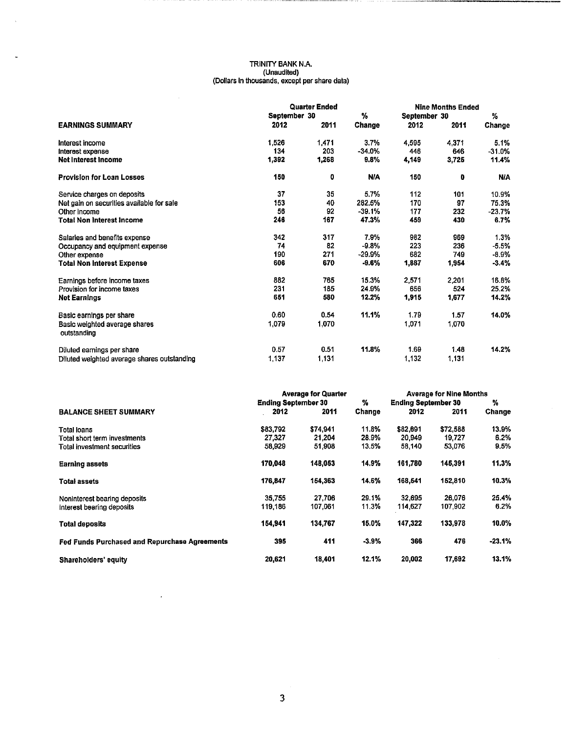#### TRINITY BANK N.A. (Unaudited) (Dollars In thousands, except per share data)

 $\cdot$ 

 $\ddot{\phantom{0}}$ 

 $\bar{z}$ 

l.

|                                              | Quarter Ended | <b>Nine Months Ended</b> |            |              |       |            |  |
|----------------------------------------------|---------------|--------------------------|------------|--------------|-------|------------|--|
|                                              | September 30  |                          | %          | September 30 |       | %          |  |
| <b>EARNINGS SUMMARY</b>                      | 2012          | 2011                     | Change     | 2012         | 2011  | Change     |  |
| Interest income                              | 1,526         | 1,471                    | 3.7%       | 4.595        | 4.371 | 5.1%       |  |
| Interest expense                             | 134           | 203                      | $-34.0%$   | 446          | 646   | -31.0%     |  |
| <b>Net Interest Income</b>                   | 1,392         | 1,268                    | 9.8%       | 4,149        | 3,725 | 11.4%      |  |
| <b>Provision for Loan Losses</b>             | 150           | 0                        | <b>N/A</b> | 150          | 0     | <b>N/A</b> |  |
| Service charges on deposits                  | 37            | 35                       | 5.7%       | 112          | 101   | 10.9%      |  |
| Net gain on securities available for sale    | 153           | 40                       | 282.5%     | 170          | 97    | 75.3%      |  |
| Other income                                 | 56            | 92                       | $-39.1%$   | 177          | 232   | $-23.7%$   |  |
| <b>Total Non Interest Income</b>             | 246           | 167                      | 47.3%      | 459          | 430   | 6.7%       |  |
| Salaries and benefits expense                | 342           | 317                      | 7.9%       | 982          | 969   | 1.3%       |  |
| Occupancy and equipment expense              | 74            | 82                       | $-9.8%$    | 223          | 236   | $-5.5%$    |  |
| Other expense                                | 190           | 271                      | $-29.9%$   | 682          | 749   | -8.9%      |  |
| <b>Total Non Interest Expense</b>            | 606           | 670                      | $-9.6%$    | 1,887        | 1,954 | $-3.4%$    |  |
| Earnings before income taxes                 | 882           | 765                      | 15.3%      | 2,571        | 2,201 | 16.8%      |  |
| Provision for income taxes                   | 231           | 185                      | 24.9%      | 656          | 524   | 25.2%      |  |
| <b>Net Earnings</b>                          | 651           | 580                      | 12.2%      | 1,915        | 1,677 | 14.2%      |  |
| Basic earnings per share                     | 0.60          | 0.54                     | 11.1%      | 1.79         | 1.57  | 14.0%      |  |
| Basic weighted average shares<br>outstanding | 1,079         | 1,070                    |            | 1,071        | 1,070 |            |  |
| Diluted earnings per share                   | 0.57          | 0.51                     | 11.8%      | 1.69         | 1.48  | 14.2%      |  |
| Diluted weighted average shares outstanding  | 1,137         | 1,131                    |            | 1,132        | 1,131 |            |  |

|                                               |                            | <b>Average for Quarter</b> | <b>Average for Nine Months</b> |                            |          |          |
|-----------------------------------------------|----------------------------|----------------------------|--------------------------------|----------------------------|----------|----------|
|                                               | <b>Ending September 30</b> |                            | %                              | <b>Ending September 30</b> |          | %        |
| <b>BALANCE SHEET SUMMARY</b>                  | 2012                       | 2011                       | Change                         | 2012                       | 2011     | Change   |
| Total loans                                   | \$83.792                   | \$74,941                   | 11.8%                          | \$82,691                   | \$72.588 | 13.9%    |
| Total short term investments                  | 27.327                     | 21,204                     | 28.9%                          | 20,949                     | 19,727   | 6.2%     |
| Total investment securities                   | 58,929                     | 51,908                     | 13.5%                          | 58,140                     | 53,076   | 9.5%     |
| Earning assets                                | 170,048                    | 148,053                    | 14.9%                          | 161,780                    | 145,391  | 11.3%    |
| Total assets                                  | 176,847                    | 154,363                    | 14.5%                          | 168,541                    | 152,810  | 10.3%    |
| Noninterest bearing deposits                  | 35.755                     | 27,706                     | 29.1%                          | 32.695                     | 26.076   | 25.4%    |
| interest bearing deposits                     | 119.186                    | 107.061                    | 11.3%                          | 114,627                    | 107,902  | 6.2%     |
| Total deposits                                | 154,941                    | 134,767                    | 15.0%                          | 147,322                    | 133,978  | 10.0%    |
| Fed Funds Purchased and Repurchase Agreements | 395                        | 411                        | $-3.9%$                        | 366                        | 476      | $-23.1%$ |
| Shareholders' equity                          | 20,621                     | 18.401                     | 12.1%                          | 20,002                     | 17,692   | 13.1%    |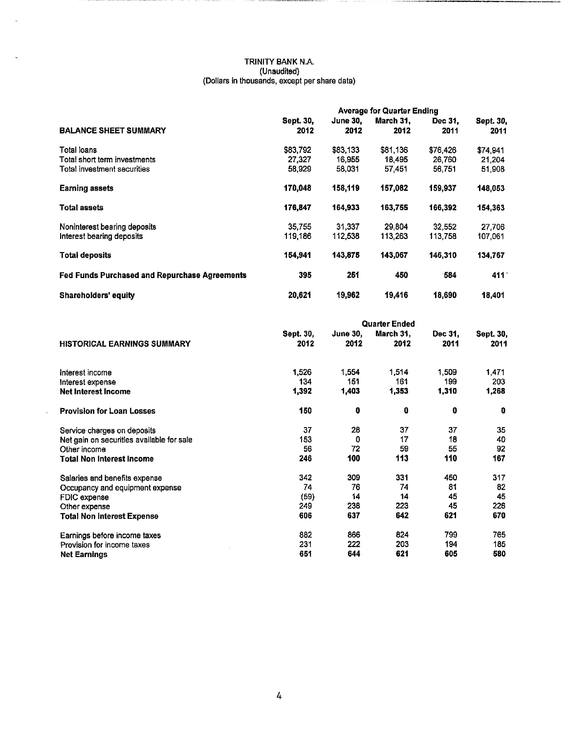#### TRINITY BANK N.A. (Unaudited) (Dollars in thousands, except per share data)

|                                               | <b>Average for Quarter Ending</b> |                 |           |          |           |  |  |  |
|-----------------------------------------------|-----------------------------------|-----------------|-----------|----------|-----------|--|--|--|
|                                               | Sept. 30,                         | <b>June 30,</b> | March 31. | Dec 31.  | Sept. 30, |  |  |  |
| <b>BALANCE SHEET SUMMARY</b>                  | 2012                              | 2012            | 2012      | 2011     | 2011      |  |  |  |
| Total loans                                   | \$83,792                          | \$83,133        | \$81.136  | \$76,426 | \$74,941  |  |  |  |
| Total short term investments                  | 27,327                            | 16,955          | 18,495    | 26,760   | 21,204    |  |  |  |
| Total investment securities                   | 58,929                            | 58.031          | 57,451    | 56,751   | 51,908    |  |  |  |
| <b>Earning assets</b>                         | 170,048                           | 158,119         | 157,082   | 159,937  | 148,053   |  |  |  |
| <b>Total assets</b>                           | 176,847                           | 164,933         | 163,755   | 166.392  | 154,363   |  |  |  |
| Noninterest bearing deposits                  | 35,755                            | 31.337          | 29.804    | 32.552   | 27,706    |  |  |  |
| Interest bearing deposits                     | 119,186                           | 112,538         | 113,263   | 113,758  | 107,061   |  |  |  |
| <b>Total deposits</b>                         | 154,941                           | 143,875         | 143,067   | 146.310  | 134,767   |  |  |  |
| Fed Funds Purchased and Repurchase Agreements | 395                               | 251             | 450       | 584      | 411'      |  |  |  |
| <b>Shareholders' equity</b>                   | 20,621                            | 19,962          | 19,416    | 18,690   | 18.401    |  |  |  |

|                                           | <b>Quarter Ended</b> |                 |           |         |           |  |  |  |
|-------------------------------------------|----------------------|-----------------|-----------|---------|-----------|--|--|--|
|                                           | Sept. 30,            | <b>June 30,</b> | March 31, | Dec 31. | Sept. 30, |  |  |  |
| <b>HISTORICAL EARNINGS SUMMARY</b>        | 2012                 | 2012            | 2012      | 2011    | 2011      |  |  |  |
| Interest income                           | 1.526                | 1,554           | 1,514     | 1,509   | 1,471     |  |  |  |
| Interest expense                          | 134                  | 151             | 161       | 199     | 203       |  |  |  |
| Net Interest Income                       | 1,392                | 1,403           | 1,353     | 1,310   | 1,268     |  |  |  |
| <b>Provision for Loan Losses</b>          | 150                  | 0               | 0         | 0       | 0         |  |  |  |
| Service charges on deposits               | 37                   | 28              | 37        | 37      | 35        |  |  |  |
| Net gain on securities available for sale | 153                  | 0               | 17        | 18      | 40        |  |  |  |
| Other income                              | 56                   | 72              | 59        | 55      | 92        |  |  |  |
| <b>Total Non Interest Income</b>          | 246                  | 100             | 113       | 110     | 167       |  |  |  |
| Salaries and benefits expense             | 342                  | 309             | 331       | 450     | 317       |  |  |  |
| Occupancy and equipment expense           | 74                   | 76              | 74        | 81      | 82        |  |  |  |
| FDIC expense                              | (59)                 | 14              | 14        | 45      | 45        |  |  |  |
| Other expense                             | 249                  | 238             | 223       | 45      | 226       |  |  |  |
| <b>Total Non Interest Expense</b>         | 606                  | 637             | 642       | 621     | 670       |  |  |  |
| Earnings before income taxes              | 882                  | 866             | 824       | 799     | 765       |  |  |  |
| Provision for income taxes                | 231                  | 222             | 203       | 194     | 185       |  |  |  |
| <b>Net Earnings</b>                       | 651                  | 644             | 621       | 605     | 580       |  |  |  |

 $\bar{\beta}$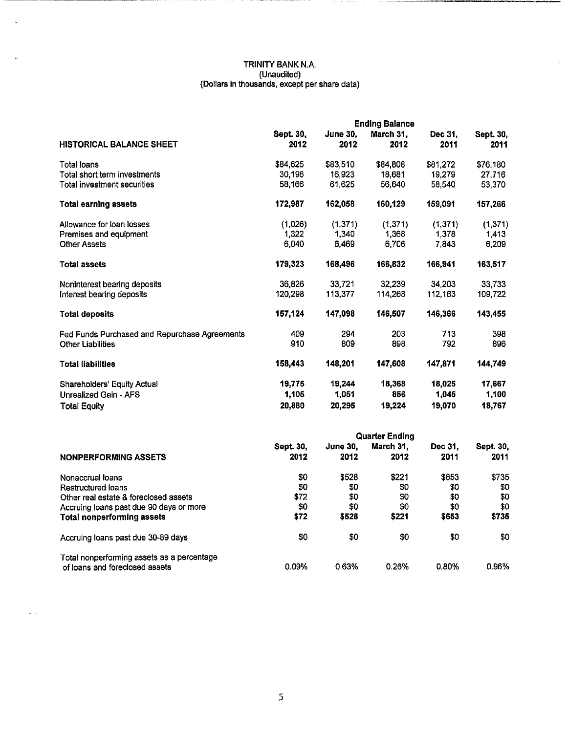#### TRINITY BANK N.A. (Unaudited) (Dollars in thousands, except per share data)

. . . . . .

t,

|                                               | <b>Ending Balance</b> |                         |                       |                 |                   |  |  |
|-----------------------------------------------|-----------------------|-------------------------|-----------------------|-----------------|-------------------|--|--|
| HISTORICAL BALANCE SHEET                      | Sept. 30,<br>2012     | <b>June 30,</b><br>2012 | March 31.<br>2012     | Dec 31.<br>2011 | Sept. 30,<br>2011 |  |  |
|                                               |                       |                         |                       |                 |                   |  |  |
| Total loans                                   | \$84,625              | \$83,510                | \$84,808              | \$81,272        | \$76,180          |  |  |
| Total short term investments                  | 30,196                | 16,923                  | 18,681                | 19,279          | 27,716            |  |  |
| Total investment securities                   | 58,166                | 61,625                  | 56,640                | 58,540          | 53,370            |  |  |
| <b>Total earning assets</b>                   | 172,987               | 162,058                 | 160,129               | 159,091         | 157,266           |  |  |
| Allowance for loan losses                     | (1,026)               | (1, 371)                | (1, 371)              | (1, 371)        | (1, 371)          |  |  |
| Premises and equipment                        | 1,322                 | 1,340                   | 1,368                 | 1,378           | 1,413             |  |  |
| <b>Other Assets</b>                           | 6,040                 | 6,469                   | 6,706                 | 7,843           | 6,209             |  |  |
| <b>Total assets</b>                           | 179,323               | 168,496                 | 166,832               | 166,941         | 163,517           |  |  |
| Noninterest bearing deposits                  | 36,826                | 33,721                  | 32,239                | 34,203          | 33,733            |  |  |
| Interest bearing deposits                     | 120,298               | 113,377                 | 114,268               | 112,163         | 109,722           |  |  |
| <b>Total deposits</b>                         | 157,124               | 147,098                 | 146,507               | 146,366         | 143,455           |  |  |
| Fed Funds Purchased and Repurchase Agreements | 409                   | 294                     | 203                   | 713             | 398               |  |  |
| <b>Other Liabilities</b>                      | 910                   | 809                     | 898                   | 792             | 896               |  |  |
| <b>Total liabilities</b>                      | 158,443               | 148,201                 | 147,608               | 147,871         | 144,749           |  |  |
| Shareholders' Equity Actual                   | 19,775                | 19,244                  | 18,368                | 18,025          | 17,667            |  |  |
| Unrealized Gain - AFS                         | 1,105                 | 1,051                   | 856                   | 1,045           | 1,100             |  |  |
| <b>Total Equity</b>                           | 20,880                | 20,295                  | 19,224                | 19,070          | 18,767            |  |  |
|                                               |                       |                         | <b>Quarter Ending</b> |                 |                   |  |  |
|                                               | Sept. 30,             | <b>June 30,</b>         | March 31,             | Dec 31,         | Sept. 30,         |  |  |
| <b>NONPERFORMING ASSETS</b>                   | 2012                  | 2012                    | 2012                  | 2011            | 2011              |  |  |
| Nonaccrual loans                              | SO.                   | \$528                   | \$221                 | \$653           | \$735             |  |  |
| Restructured loans                            | \$0                   | \$0                     | \$0                   | \$0             | \$0               |  |  |
| Other real estate & foreclosed assets         | \$72                  | \$0                     | \$0                   | \$0             | \$0               |  |  |
| Accruing loans past due 90 days or more       | \$0                   | \$0                     | \$0                   | \$0             | \$0               |  |  |
| <b>Total nonperforming assets</b>             | \$72                  | \$528                   | \$221                 | \$653           | \$735             |  |  |
| Accruing loans past due 30-89 days            | \$0                   | \$0                     | \$0                   | \$0             | \$0               |  |  |
| Total nonperforming assets as a percentage    |                       |                         |                       |                 |                   |  |  |
| of loans and foreclosed assets                | 0.09%                 | 0.63%                   | 0.26%                 | 0.80%           | 0.96%             |  |  |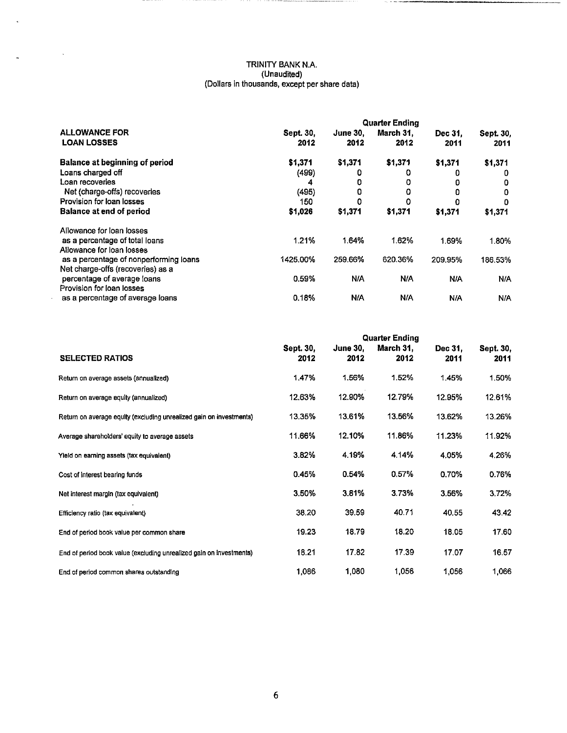#### TRINITY BANK N.A. (Unaudited) (Dollars in thousands, except per share data)

j.

 $\ddot{\phantom{1}}$ 

 $\sim 10^4$ 

 $\ddot{\phantom{a}}$ 

|                                            | <b>Quarter Ending</b> |                         |                   |                 |                   |  |  |
|--------------------------------------------|-----------------------|-------------------------|-------------------|-----------------|-------------------|--|--|
| <b>ALLOWANCE FOR</b><br><b>LOAN LOSSES</b> | Sept. 30,<br>2012     | <b>June 30.</b><br>2012 | March 31.<br>2012 | Dec 31.<br>2011 | Sept. 30,<br>2011 |  |  |
| <b>Balance at beginning of period</b>      | \$1,371               | \$1,371                 | \$1,371           | \$1,371         | \$1,371           |  |  |
| Loans charged off                          | (499)                 | 0                       | o                 | O               | 0                 |  |  |
| Loan recoveries                            | 4                     | 0                       | 0                 | Ω               | 0                 |  |  |
| Net (charge-offs) recoveries               | (495)                 | ٥                       | O                 | 0               | 0                 |  |  |
| Provision for loan losses                  | 150                   |                         |                   |                 | O                 |  |  |
| Balance at end of period                   | \$1,026               | \$1,371                 | \$1,371           | \$1,371         | \$1,371           |  |  |
| Allowance for loan losses                  |                       |                         |                   |                 |                   |  |  |
| as a percentage of total loans             | 1.21%                 | 1.64%                   | 1.62%             | 1.69%           | 1.80%             |  |  |
| Allowance for loan losses                  |                       |                         |                   |                 |                   |  |  |
| as a percentage of nonperforming loans     | 1425.00%              | 259.66%                 | 620.36%           | 209.95%         | 186.53%           |  |  |
| Net charge-offs (recoveries) as a          |                       |                         |                   |                 |                   |  |  |
| percentage of average loans                | 0.59%                 | N/A                     | N/A               | <b>N/A</b>      | N/A               |  |  |
| Provision for loan losses                  |                       |                         |                   |                 |                   |  |  |
| as a percentage of average loans           | 0.18%                 | N/A                     | N/A               | N/A             | N/A               |  |  |

| <b>SELECTED RATIOS</b>                                              | Sept. 30,<br>2012 | <b>June 30.</b><br>2012 | <b>March 31.</b><br>2012 | Dec 31,<br>2011 | Sept. 30,<br>2011 |
|---------------------------------------------------------------------|-------------------|-------------------------|--------------------------|-----------------|-------------------|
| Return on average assets (annualized)                               | 1.47%             | 1.56%                   | 1.52%                    | 1.45%           | 1.50%             |
| Return on average equity (annualized)                               | 12.63%            | 12.90%                  | 12.79%                   | 12.95%          | 12.61%            |
| Return on average equity (excluding unrealized gain on investments) | 13.35%            | 13.61%                  | 13.56%                   | 13.62%          | 13.26%            |
| Average shareholders' equity to average assets                      | 11.66%            | 12.10%                  | 11.86%                   | 11.23%          | 11.92%            |
| Yield on earning assets (tax equivalent)                            | 3.82%             | 4.19%                   | 4.14%                    | 4.05%           | 4.26%             |
| Cost of interest bearing funds                                      | 0.45%             | 0.54%                   | 0.57%                    | 0.70%           | 0.76%             |
| Net interest margin (tax equivalent)                                | 3.50%             | $3.81\%$                | 3.73%                    | 3.56%           | 3.72%             |
| Efficiency ratio (tax equivalent)                                   | 38.20             | 39.59                   | 40.71                    | 40.55           | 43.42             |
| End of period book value per common share                           | 19.23             | 18.79                   | 18.20                    | 18.05           | 17.60             |
| End of period book value (excluding unrealized gain on investments) | 18.21             | 17.82                   | 17.39                    | 17.07           | 16.57             |
| End of period common shares outstanding                             | 1,086             | 1,080                   | 1,056                    | 1,056           | 1,066             |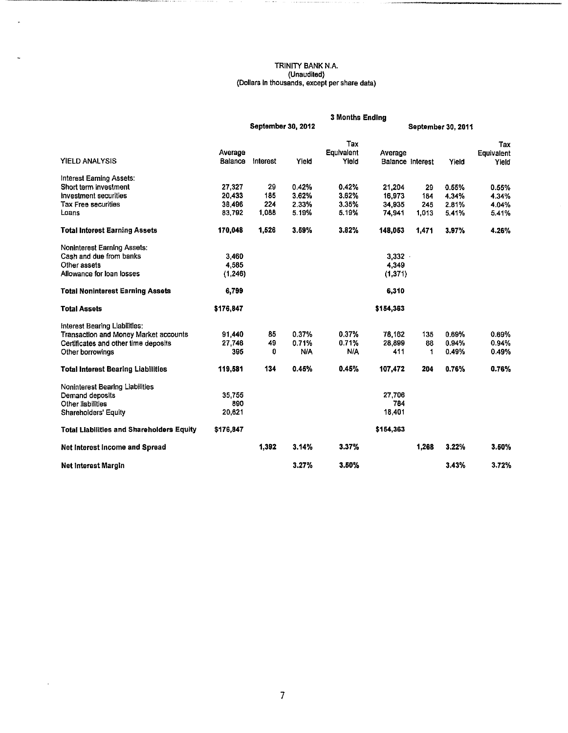#### TRINITY BANK N.A. (Unaudited) (Dollars In thousands, except per share data)

----------------------

 $\ddot{\phantom{a}}$ 

 $\ddot{\phantom{a}}$ 

 $\mathcal{A}^{\mathcal{A}}$ 

|                                                  |           |                    |            | 3 Months Ending   |                         |       |                    |                   |
|--------------------------------------------------|-----------|--------------------|------------|-------------------|-------------------------|-------|--------------------|-------------------|
|                                                  |           | September 30, 2012 |            |                   |                         |       | September 30, 2011 |                   |
|                                                  | Average   |                    |            | Tax<br>Equivalent | Average                 |       |                    | Tax<br>Equivalent |
| YIELD ANALYSIS                                   | Balance   | Interest           | Yield      | Yield             | <b>Balance Interest</b> |       | Yield              | Yield             |
| Interest Earning Assets:                         |           |                    |            |                   |                         |       |                    |                   |
| Short term investment                            | 27.327    | 29                 | 0.42%      | 0.42%             | 21,204                  | 29    | 0.65%              | 0.55%             |
| <b>Investment securities</b>                     | 20,433    | 185                | 3.62%      | 3.62%             | 16,973                  | 184   | 4.34%              | 4.34%             |
| <b>Tax Free securities</b>                       | 38.496    | 224                | 2.33%      | 3.35%             | 34,935                  | 245   | 2.81%              | 4.04%             |
| Loans                                            | 83,792    | 1,088              | 5.19%      | 5.19%             | 74,941                  | 1,013 | 5.41%              | 5.41%             |
| <b>Total Interest Earning Assets</b>             | 170,048   | 1,526              | 3.59%      | 3.82%             | 148,053                 | 1,471 | 3.97%              | 4.26%             |
| <b>Noninterest Earning Assets:</b>               |           |                    |            |                   |                         |       |                    |                   |
| Cash and due from banks                          | 3,460     |                    |            |                   | 3,332                   |       |                    |                   |
| Other assets                                     | 4.585     |                    |            |                   | 4.349                   |       |                    |                   |
| Allowance for loan losses                        | (1, 246)  |                    |            |                   | (1, 371)                |       |                    |                   |
| <b>Total Noninterest Earning Assets</b>          | 6,799     |                    |            |                   | 6,310                   |       |                    |                   |
| <b>Total Assets</b>                              | \$176,847 |                    |            |                   | \$154,363               |       |                    |                   |
| Interest Bearing Liabilities:                    |           |                    |            |                   |                         |       |                    |                   |
| Transaction and Money Market accounts            | 91,440    | 85                 | 0.37%      | 0.37%             | 78,162                  | 135   | 0.69%              | 0.69%             |
| Certificates and other time deposits             | 27,746    | 49                 | 0.71%      | 0.71%             | 28,899                  | 68    | 0.94%              | 0.94%             |
| Other borrowings                                 | 395       | 0                  | <b>N/A</b> | N/A               | 411                     | 1     | 0.49%              | 0.49%             |
| <b>Total Interest Bearing Liabilities</b>        | 119,581   | 134                | 0.45%      | 0.45%             | 107,472                 | 204   | 0.76%              | 0.76%             |
| Noninterest Bearing Liabilities                  |           |                    |            |                   |                         |       |                    |                   |
| Demand deposits                                  | 35,755    |                    |            |                   | 27,706                  |       |                    |                   |
| Other liabilities                                | 890       |                    |            |                   | 784                     |       |                    |                   |
| <b>Shareholders' Equity</b>                      | 20,621    |                    |            |                   | 18,401                  |       |                    |                   |
| <b>Total Liabilities and Shareholders Equity</b> | \$176,847 |                    |            |                   | \$154,363               |       |                    |                   |
| <b>Net Interest Income and Spread</b>            |           | 1.392              | 3.14%      | 3.37%             |                         | 1,268 | 3.22%              | 3.50%             |
| <b>Net Interest Margin</b>                       |           |                    | 3.27%      | 3.50%             |                         |       | 3.43%              | 3.72%             |